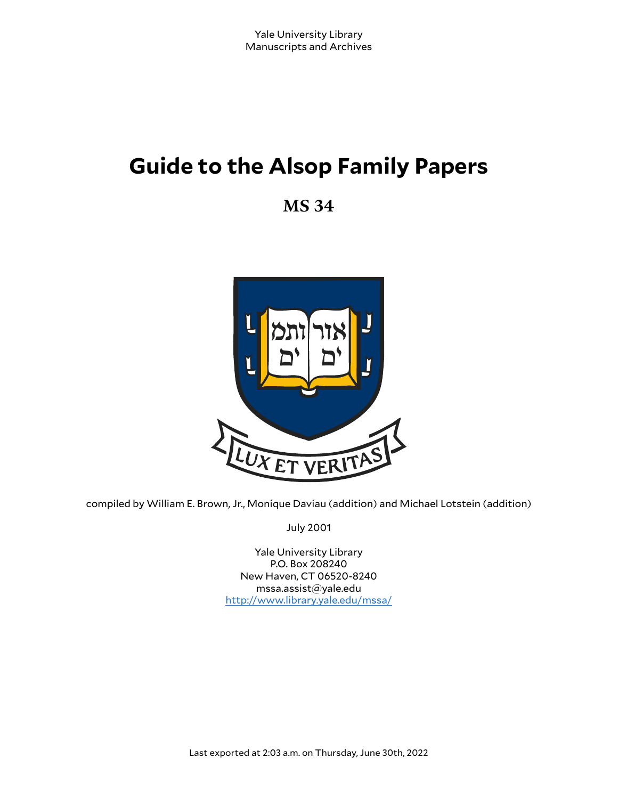# **Guide to the Alsop Family Papers**

**MS 34**



compiled by William E. Brown, Jr., Monique Daviau (addition) and Michael Lotstein (addition)

July 2001

Yale University Library P.O. Box 208240 New Haven, CT 06520-8240 mssa.assist@yale.edu <http://www.library.yale.edu/mssa/>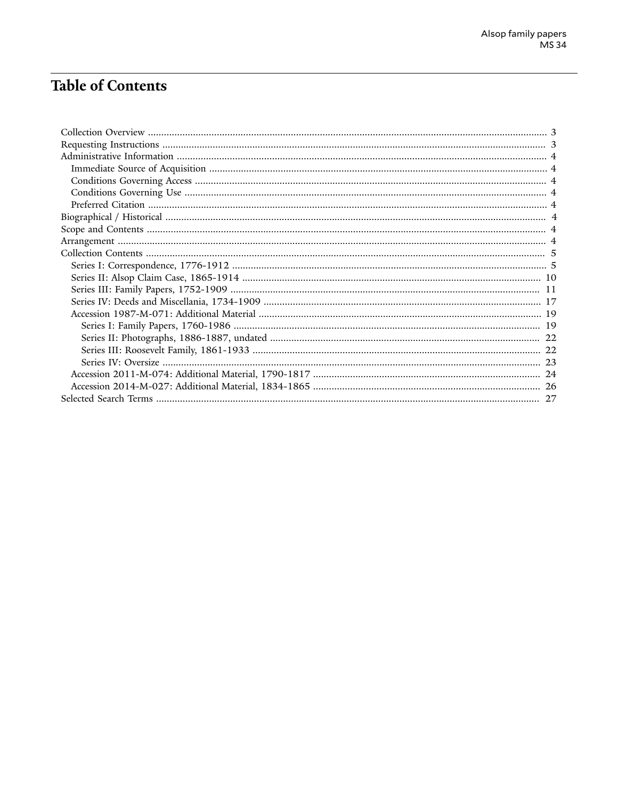## **Table of Contents**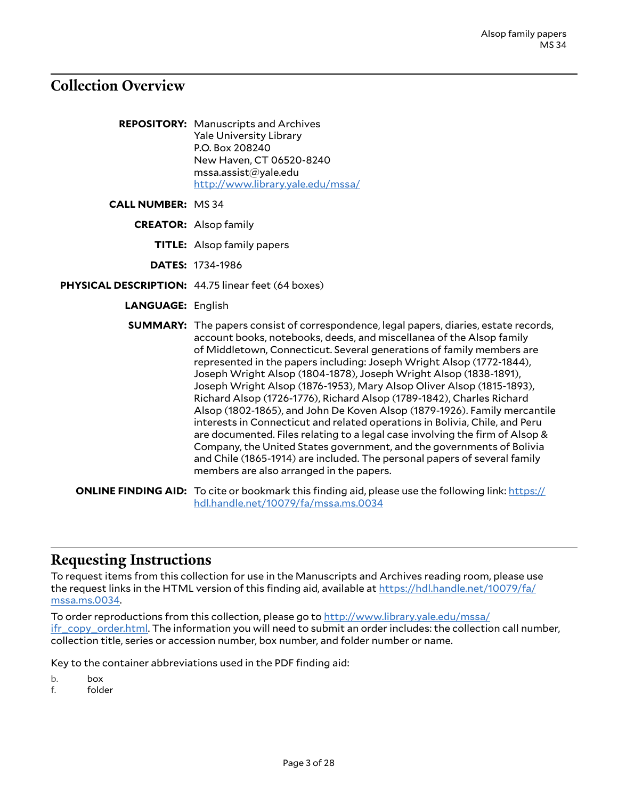### <span id="page-2-0"></span>**Collection Overview**

**REPOSITORY:** Manuscripts and Archives Yale University Library P.O. Box 208240 New Haven, CT 06520-8240 mssa.assist@yale.edu <http://www.library.yale.edu/mssa/>

**CALL NUMBER:** MS 34

**CREATOR:** Alsop family

**TITLE:** Alsop family papers

**DATES:** 1734-1986

- **PHYSICAL DESCRIPTION:** 44.75 linear feet (64 boxes)
	- **LANGUAGE:** English

**SUMMARY:** The papers consist of correspondence, legal papers, diaries, estate records, account books, notebooks, deeds, and miscellanea of the Alsop family of Middletown, Connecticut. Several generations of family members are represented in the papers including: Joseph Wright Alsop (1772-1844), Joseph Wright Alsop (1804-1878), Joseph Wright Alsop (1838-1891), Joseph Wright Alsop (1876-1953), Mary Alsop Oliver Alsop (1815-1893), Richard Alsop (1726-1776), Richard Alsop (1789-1842), Charles Richard Alsop (1802-1865), and John De Koven Alsop (1879-1926). Family mercantile interests in Connecticut and related operations in Bolivia, Chile, and Peru are documented. Files relating to a legal case involving the firm of Alsop & Company, the United States government, and the governments of Bolivia and Chile (1865-1914) are included. The personal papers of several family members are also arranged in the papers.

**ONLINE FINDING AID:** To cite or bookmark this finding aid, please use the following link: [https://](https://hdl.handle.net/10079/fa/mssa.ms.0034) [hdl.handle.net/10079/fa/mssa.ms.0034](https://hdl.handle.net/10079/fa/mssa.ms.0034)

#### <span id="page-2-1"></span>**Requesting Instructions**

To request items from this collection for use in the Manuscripts and Archives reading room, please use the request links in the HTML version of this finding aid, available at [https://hdl.handle.net/10079/fa/](https://hdl.handle.net/10079/fa/mssa.ms.0034) [mssa.ms.0034.](https://hdl.handle.net/10079/fa/mssa.ms.0034)

To order reproductions from this collection, please go to [http://www.library.yale.edu/mssa/](http://www.library.yale.edu/mssa/ifr_copy_order.html) [ifr\\_copy\\_order.html.](http://www.library.yale.edu/mssa/ifr_copy_order.html) The information you will need to submit an order includes: the collection call number, collection title, series or accession number, box number, and folder number or name.

Key to the container abbreviations used in the PDF finding aid:

b. box

f. folder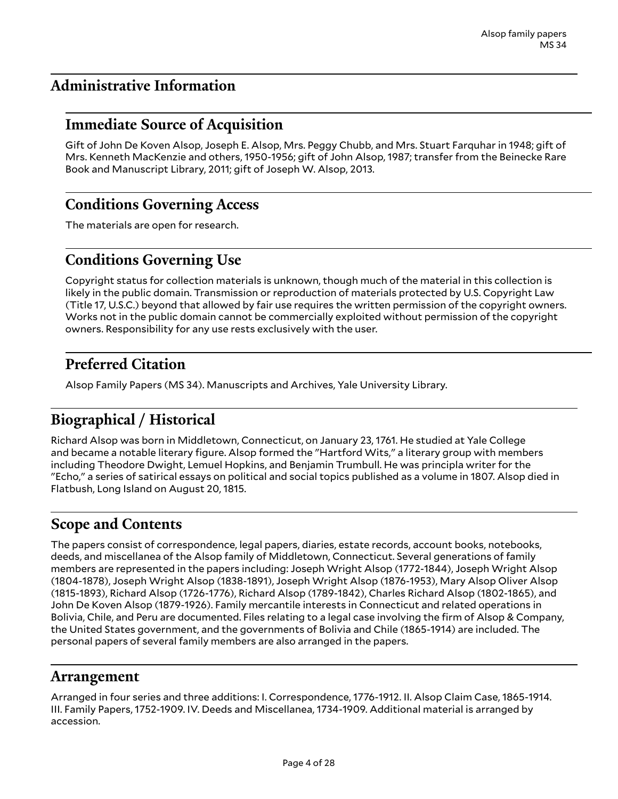### <span id="page-3-0"></span>**Administrative Information**

### <span id="page-3-1"></span>**Immediate Source of Acquisition**

Gift of John De Koven Alsop, Joseph E. Alsop, Mrs. Peggy Chubb, and Mrs. Stuart Farquhar in 1948; gift of Mrs. Kenneth MacKenzie and others, 1950-1956; gift of John Alsop, 1987; transfer from the Beinecke Rare Book and Manuscript Library, 2011; gift of Joseph W. Alsop, 2013.

### <span id="page-3-2"></span>**Conditions Governing Access**

The materials are open for research.

### <span id="page-3-3"></span>**Conditions Governing Use**

Copyright status for collection materials is unknown, though much of the material in this collection is likely in the public domain. Transmission or reproduction of materials protected by U.S. Copyright Law (Title 17, U.S.C.) beyond that allowed by fair use requires the written permission of the copyright owners. Works not in the public domain cannot be commercially exploited without permission of the copyright owners. Responsibility for any use rests exclusively with the user.

### <span id="page-3-4"></span>**Preferred Citation**

Alsop Family Papers (MS 34). Manuscripts and Archives, Yale University Library.

### <span id="page-3-5"></span>**Biographical / Historical**

Richard Alsop was born in Middletown, Connecticut, on January 23, 1761. He studied at Yale College and became a notable literary figure. Alsop formed the "Hartford Wits," a literary group with members including Theodore Dwight, Lemuel Hopkins, and Benjamin Trumbull. He was principla writer for the "Echo," a series of satirical essays on political and social topics published as a volume in 1807. Alsop died in Flatbush, Long Island on August 20, 1815.

### <span id="page-3-6"></span>**Scope and Contents**

The papers consist of correspondence, legal papers, diaries, estate records, account books, notebooks, deeds, and miscellanea of the Alsop family of Middletown, Connecticut. Several generations of family members are represented in the papers including: Joseph Wright Alsop (1772-1844), Joseph Wright Alsop (1804-1878), Joseph Wright Alsop (1838-1891), Joseph Wright Alsop (1876-1953), Mary Alsop Oliver Alsop (1815-1893), Richard Alsop (1726-1776), Richard Alsop (1789-1842), Charles Richard Alsop (1802-1865), and John De Koven Alsop (1879-1926). Family mercantile interests in Connecticut and related operations in Bolivia, Chile, and Peru are documented. Files relating to a legal case involving the firm of Alsop & Company, the United States government, and the governments of Bolivia and Chile (1865-1914) are included. The personal papers of several family members are also arranged in the papers.

#### <span id="page-3-7"></span>**Arrangement**

Arranged in four series and three additions: I. Correspondence, 1776-1912. II. Alsop Claim Case, 1865-1914. III. Family Papers, 1752-1909. IV. Deeds and Miscellanea, 1734-1909. Additional material is arranged by accession.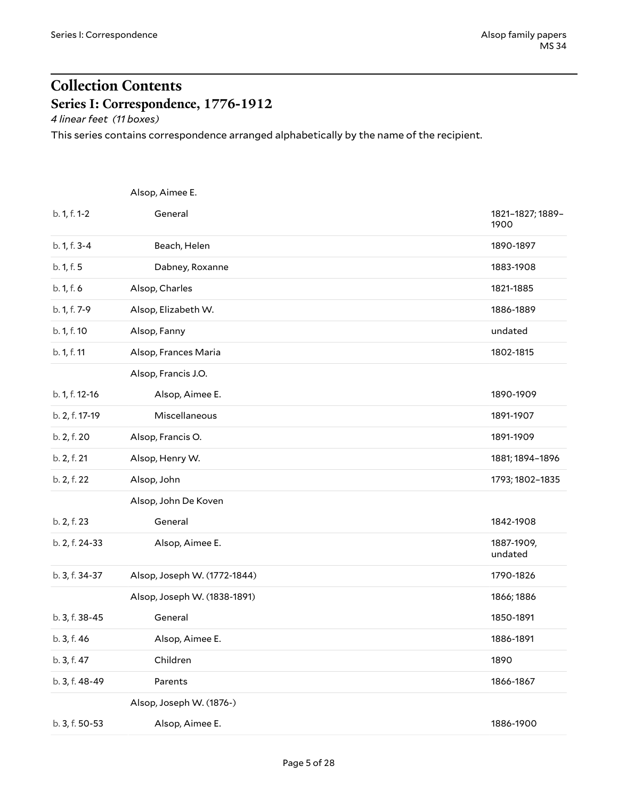## <span id="page-4-0"></span>**Collection Contents Series I: Correspondence, 1776-1912**

<span id="page-4-1"></span>*4 linear feet (11 boxes)*

This series contains correspondence arranged alphabetically by the name of the recipient.

<span id="page-4-2"></span>

|                | Alsop, Aimee E.              |                          |
|----------------|------------------------------|--------------------------|
| b. 1, f. 1-2   | General                      | 1821-1827; 1889-<br>1900 |
| b. 1, f. 3-4   | Beach, Helen                 | 1890-1897                |
| b. 1, f. 5     | Dabney, Roxanne              | 1883-1908                |
| b. 1, f. 6     | Alsop, Charles               | 1821-1885                |
| b. 1, f. 7-9   | Alsop, Elizabeth W.          | 1886-1889                |
| b. 1, f. 10    | Alsop, Fanny                 | undated                  |
| b. 1, f. 11    | Alsop, Frances Maria         | 1802-1815                |
|                | Alsop, Francis J.O.          |                          |
| b. 1, f. 12-16 | Alsop, Aimee E.              | 1890-1909                |
| b. 2, f. 17-19 | Miscellaneous                | 1891-1907                |
| b. 2, f. 20    | Alsop, Francis O.            | 1891-1909                |
| b. 2, f. 21    | Alsop, Henry W.              | 1881; 1894-1896          |
| b. 2, f. 22    | Alsop, John                  | 1793; 1802-1835          |
|                | Alsop, John De Koven         |                          |
| b. 2, f. 23    | General                      | 1842-1908                |
| b. 2, f. 24-33 | Alsop, Aimee E.              | 1887-1909,<br>undated    |
| b. 3, f. 34-37 | Alsop, Joseph W. (1772-1844) | 1790-1826                |
|                | Alsop, Joseph W. (1838-1891) | 1866; 1886               |
| b. 3, f. 38-45 | General                      | 1850-1891                |
| b. 3, f. 46    | Alsop, Aimee E.              | 1886-1891                |
| b. 3, f. 47    | Children                     | 1890                     |
| b. 3, f. 48-49 | Parents                      | 1866-1867                |
|                | Alsop, Joseph W. (1876-)     |                          |
| b. 3, f. 50-53 | Alsop, Aimee E.              | 1886-1900                |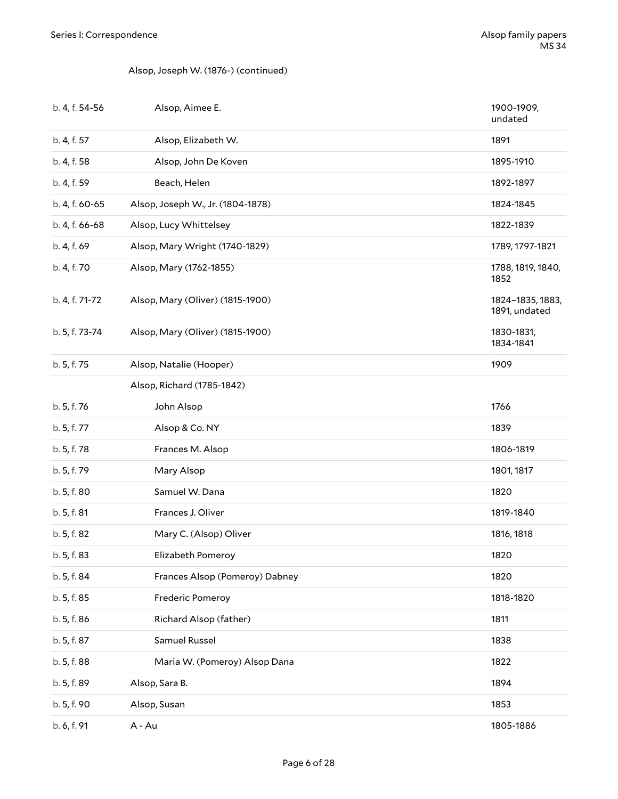#### Alsop, Joseph W. (1876-) (continued)

| b. 4, f. 54-56 | Alsop, Aimee E.                   | 1900-1909,<br>undated             |
|----------------|-----------------------------------|-----------------------------------|
| b. 4, f. 57    | Alsop, Elizabeth W.               | 1891                              |
| b. 4, f. 58    | Alsop, John De Koven              | 1895-1910                         |
| b. 4, f. 59    | Beach, Helen                      | 1892-1897                         |
| b. 4, f. 60-65 | Alsop, Joseph W., Jr. (1804-1878) | 1824-1845                         |
| b. 4, f. 66-68 | Alsop, Lucy Whittelsey            | 1822-1839                         |
| b. 4, f. 69    | Alsop, Mary Wright (1740-1829)    | 1789, 1797-1821                   |
| b. 4, f. 70    | Alsop, Mary (1762-1855)           | 1788, 1819, 1840,<br>1852         |
| b. 4, f. 71-72 | Alsop, Mary (Oliver) (1815-1900)  | 1824-1835, 1883,<br>1891, undated |
| b. 5, f. 73-74 | Alsop, Mary (Oliver) (1815-1900)  | 1830-1831,<br>1834-1841           |
| b. 5, f. 75    | Alsop, Natalie (Hooper)           | 1909                              |
|                | Alsop, Richard (1785-1842)        |                                   |
| b. 5, f. 76    | John Alsop                        | 1766                              |
| b. 5, f. 77    | Alsop & Co. NY                    | 1839                              |
| b. 5, f. 78    | Frances M. Alsop                  | 1806-1819                         |
| b. 5, f. 79    | Mary Alsop                        | 1801, 1817                        |
| b. 5, f. 80    | Samuel W. Dana                    | 1820                              |
| b. 5, f. 81    | Frances J. Oliver                 | 1819-1840                         |
| b. 5, f. 82    | Mary C. (Alsop) Oliver            | 1816, 1818                        |
| b. 5, f. 83    | Elizabeth Pomeroy                 | 1820                              |
| b. 5, f. 84    | Frances Alsop (Pomeroy) Dabney    | 1820                              |
| b. 5, f. 85    | Frederic Pomeroy                  | 1818-1820                         |
| b. 5, f. 86    | Richard Alsop (father)            | 1811                              |
| b. 5, f. 87    | Samuel Russel                     | 1838                              |
| b. 5, f. 88    | Maria W. (Pomeroy) Alsop Dana     | 1822                              |
| b. 5, f. 89    | Alsop, Sara B.                    | 1894                              |
| b. 5, f. 90    | Alsop, Susan                      | 1853                              |
| b. 6, f. 91    | A - Au                            | 1805-1886                         |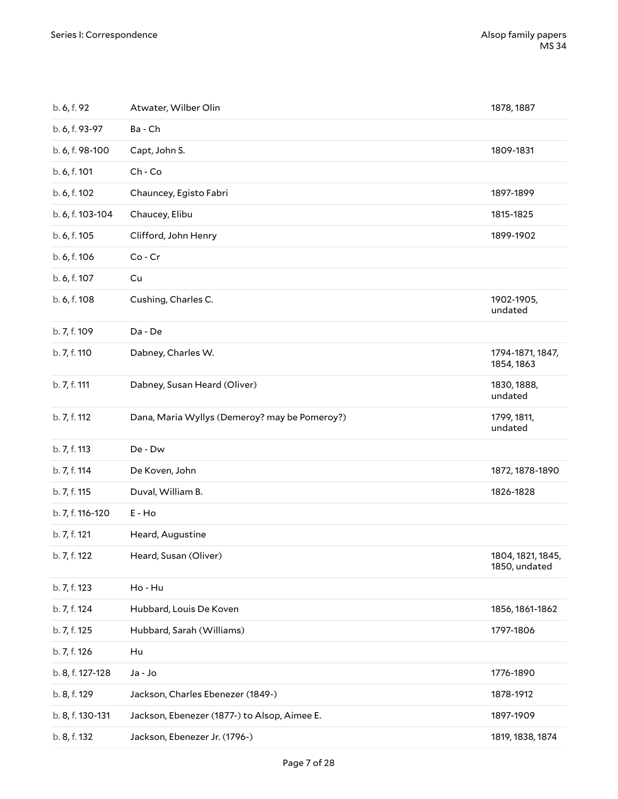| b. 6, f. 92      | Atwater, Wilber Olin                          | 1878, 1887                         |
|------------------|-----------------------------------------------|------------------------------------|
| b. 6, f. 93-97   | Ba - Ch                                       |                                    |
| b. 6, f. 98-100  | Capt, John S.                                 | 1809-1831                          |
| b. 6, f. 101     | $Ch$ - $Co$                                   |                                    |
| b. 6, f. 102     | Chauncey, Egisto Fabri                        | 1897-1899                          |
| b. 6, f. 103-104 | Chaucey, Elibu                                | 1815-1825                          |
| b. 6, f. 105     | Clifford, John Henry                          | 1899-1902                          |
| b. 6, f. 106     | $Co$ - $Cr$                                   |                                    |
| b. 6, f. 107     | Cu                                            |                                    |
| b. 6, f. 108     | Cushing, Charles C.                           | 1902-1905,<br>undated              |
| b. 7, f. 109     | Da - De                                       |                                    |
| b. 7, f. 110     | Dabney, Charles W.                            | 1794-1871, 1847,<br>1854, 1863     |
| b. 7, f. 111     | Dabney, Susan Heard (Oliver)                  | 1830, 1888,<br>undated             |
| b. 7, f. 112     | Dana, Maria Wyllys (Demeroy? may be Pomeroy?) | 1799, 1811,<br>undated             |
| b. 7, f. 113     | De - Dw                                       |                                    |
| b. 7, f. 114     | De Koven, John                                | 1872, 1878-1890                    |
| b. 7, f. 115     | Duval, William B.                             | 1826-1828                          |
| b. 7, f. 116-120 | E - Ho                                        |                                    |
| b. 7, f. 121     | Heard, Augustine                              |                                    |
| b. 7, f. 122     | Heard, Susan (Oliver)                         | 1804, 1821, 1845,<br>1850, undated |
| b. 7, f. 123     | Ho - Hu                                       |                                    |
| b. 7, f. 124     | Hubbard, Louis De Koven                       | 1856, 1861-1862                    |
| b. 7, f. 125     | Hubbard, Sarah (Williams)                     | 1797-1806                          |
| b. 7, f. 126     | Hu                                            |                                    |
| b. 8, f. 127-128 | Ja - Jo                                       | 1776-1890                          |
| b. 8, f. 129     |                                               |                                    |
|                  | Jackson, Charles Ebenezer (1849-)             | 1878-1912                          |
| b. 8, f. 130-131 | Jackson, Ebenezer (1877-) to Alsop, Aimee E.  | 1897-1909                          |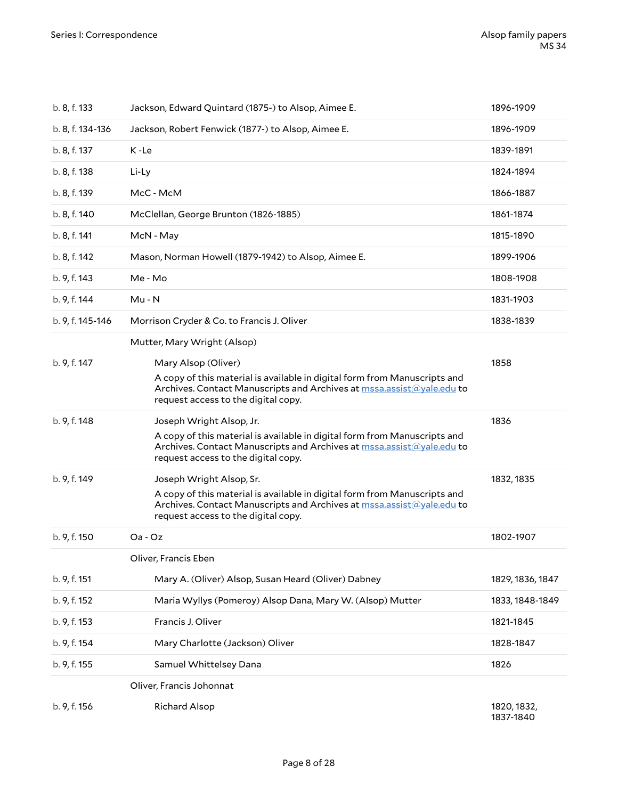| b. 8, f. 133     | Jackson, Edward Quintard (1875-) to Alsop, Aimee E.                                                                                                                                                                   | 1896-1909                |
|------------------|-----------------------------------------------------------------------------------------------------------------------------------------------------------------------------------------------------------------------|--------------------------|
| b. 8, f. 134-136 | Jackson, Robert Fenwick (1877-) to Alsop, Aimee E.                                                                                                                                                                    | 1896-1909                |
| b. 8, f. 137     | K-Le                                                                                                                                                                                                                  | 1839-1891                |
| b. 8, f. 138     | Li-Ly                                                                                                                                                                                                                 | 1824-1894                |
| b. 8, f. 139     | McC - McM                                                                                                                                                                                                             | 1866-1887                |
| b. 8, f. 140     | McClellan, George Brunton (1826-1885)                                                                                                                                                                                 | 1861-1874                |
| b. 8, f. 141     | McN - May                                                                                                                                                                                                             | 1815-1890                |
| b. 8, f. 142     | Mason, Norman Howell (1879-1942) to Alsop, Aimee E.                                                                                                                                                                   | 1899-1906                |
| b. 9, f. 143     | Me - Mo                                                                                                                                                                                                               | 1808-1908                |
| b. 9, f. 144     | $Mu - N$                                                                                                                                                                                                              | 1831-1903                |
| b. 9, f. 145-146 | Morrison Cryder & Co. to Francis J. Oliver                                                                                                                                                                            | 1838-1839                |
|                  | Mutter, Mary Wright (Alsop)                                                                                                                                                                                           |                          |
| b. 9, f. 147     | Mary Alsop (Oliver)<br>A copy of this material is available in digital form from Manuscripts and<br>Archives. Contact Manuscripts and Archives at mssa.assist@yale.edu to<br>request access to the digital copy.      | 1858                     |
| b. 9, f. 148     | Joseph Wright Alsop, Jr.<br>A copy of this material is available in digital form from Manuscripts and<br>Archives. Contact Manuscripts and Archives at mssa.assist@yale.edu to<br>request access to the digital copy. | 1836                     |
| b. 9, f. 149     | Joseph Wright Alsop, Sr.<br>A copy of this material is available in digital form from Manuscripts and<br>Archives. Contact Manuscripts and Archives at mssa.assist@yale.edu to<br>request access to the digital copy. | 1832, 1835               |
| b. 9, f. 150     | $Oa - Oz$                                                                                                                                                                                                             | 1802-1907                |
|                  | Oliver, Francis Eben                                                                                                                                                                                                  |                          |
| b. 9, f. 151     | Mary A. (Oliver) Alsop, Susan Heard (Oliver) Dabney                                                                                                                                                                   | 1829, 1836, 1847         |
| b. 9, f. 152     | Maria Wyllys (Pomeroy) Alsop Dana, Mary W. (Alsop) Mutter                                                                                                                                                             | 1833, 1848-1849          |
| b. 9, f. 153     | Francis J. Oliver                                                                                                                                                                                                     | 1821-1845                |
| b. 9, f. 154     | Mary Charlotte (Jackson) Oliver                                                                                                                                                                                       | 1828-1847                |
| b. 9, f. 155     | Samuel Whittelsey Dana                                                                                                                                                                                                | 1826                     |
|                  | Oliver, Francis Johonnat                                                                                                                                                                                              |                          |
| b. 9, f. 156     | <b>Richard Alsop</b>                                                                                                                                                                                                  | 1820, 1832,<br>1837-1840 |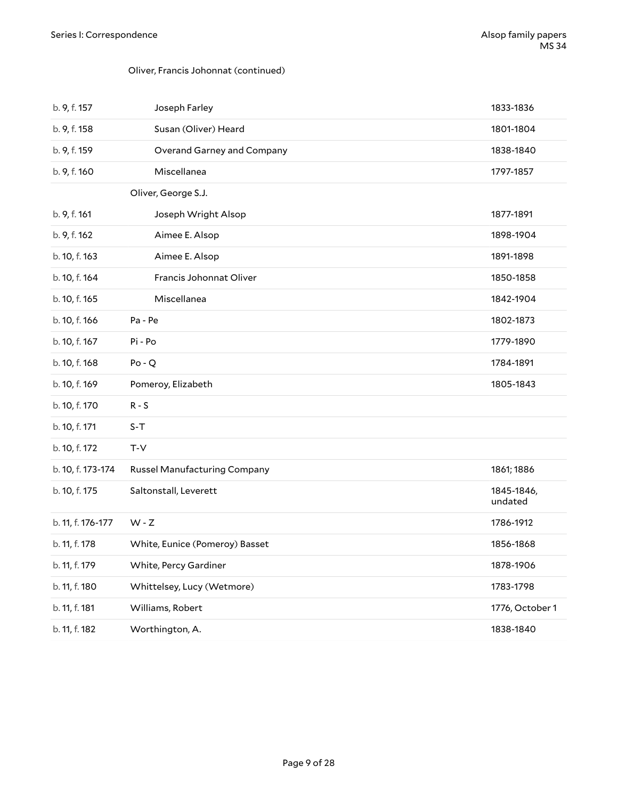#### Oliver, Francis Johonnat (continued)

| b. 9, f. 157      | Joseph Farley                  | 1833-1836             |
|-------------------|--------------------------------|-----------------------|
| b. 9, f. 158      | Susan (Oliver) Heard           | 1801-1804             |
| b. 9, f. 159      | Overand Garney and Company     | 1838-1840             |
| b. 9, f. 160      | Miscellanea                    | 1797-1857             |
|                   | Oliver, George S.J.            |                       |
| b. 9, f. 161      | Joseph Wright Alsop            | 1877-1891             |
| b. 9, f. 162      | Aimee E. Alsop                 | 1898-1904             |
| b. 10, f. 163     | Aimee E. Alsop                 | 1891-1898             |
| b. 10, f. 164     | Francis Johonnat Oliver        | 1850-1858             |
| b. 10, f. 165     | Miscellanea                    | 1842-1904             |
| b. 10, f. 166     | Pa - Pe                        | 1802-1873             |
| b. 10, f. 167     | Pi - Po                        | 1779-1890             |
| b. 10, f. 168     | $Po - Q$                       | 1784-1891             |
| b. 10, f. 169     | Pomeroy, Elizabeth             | 1805-1843             |
| b. 10, f. 170     | $R - S$                        |                       |
| b. 10, f. 171     | $S-T$                          |                       |
| b. 10, f. 172     | T-V                            |                       |
| b. 10, f. 173-174 | Russel Manufacturing Company   | 1861; 1886            |
| b. 10, f. 175     | Saltonstall, Leverett          | 1845-1846,<br>undated |
| b. 11, f. 176-177 | $W - Z$                        | 1786-1912             |
| b. 11, f. 178     | White, Eunice (Pomeroy) Basset | 1856-1868             |
| b. 11, f. 179     | White, Percy Gardiner          | 1878-1906             |
| b. 11, f. 180     | Whittelsey, Lucy (Wetmore)     | 1783-1798             |
| b. 11, f. 181     | Williams, Robert               | 1776, October 1       |
| b. 11, f. 182     | Worthington, A.                | 1838-1840             |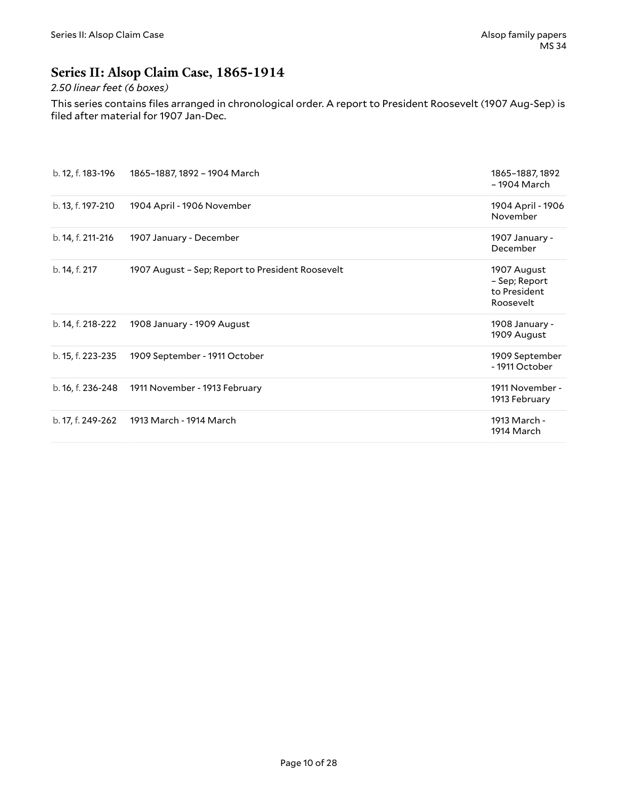### <span id="page-9-0"></span>**Series II: Alsop Claim Case, 1865-1914**

#### *2.50 linear feet (6 boxes)*

This series contains files arranged in chronological order. A report to President Roosevelt (1907 Aug-Sep) is filed after material for 1907 Jan-Dec.

| b. 12, f. 183-196 | 1865-1887, 1892 - 1904 March                     | 1865-1887, 1892<br>- 1904 March                           |
|-------------------|--------------------------------------------------|-----------------------------------------------------------|
| b. 13, f. 197-210 | 1904 April - 1906 November                       | 1904 April - 1906<br>November                             |
| b. 14, f. 211-216 | 1907 January - December                          | 1907 January -<br>December                                |
| b. 14, f. 217     | 1907 August - Sep; Report to President Roosevelt | 1907 August<br>- Sep; Report<br>to President<br>Roosevelt |
| b. 14, f. 218-222 | 1908 January - 1909 August                       | 1908 January -<br>1909 August                             |
| b. 15, f. 223-235 | 1909 September - 1911 October                    | 1909 September<br>- 1911 October                          |
| b. 16, f. 236-248 | 1911 November - 1913 February                    | 1911 November -<br>1913 February                          |
| b. 17, f. 249-262 | 1913 March - 1914 March                          | 1913 March -<br>1914 March                                |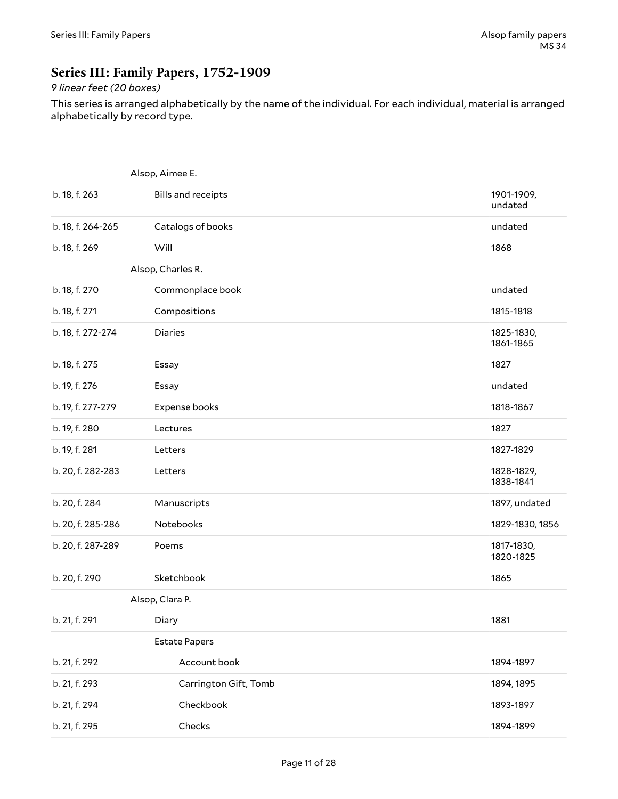### <span id="page-10-0"></span>**Series III: Family Papers, 1752-1909**

#### *9 linear feet (20 boxes)*

This series is arranged alphabetically by the name of the individual. For each individual, material is arranged alphabetically by record type.

|                   | Alsop, Aimee E.           |                         |  |
|-------------------|---------------------------|-------------------------|--|
| b. 18, f. 263     | <b>Bills and receipts</b> | 1901-1909,<br>undated   |  |
| b. 18, f. 264-265 | Catalogs of books         | undated                 |  |
| b. 18, f. 269     | Will                      | 1868                    |  |
|                   | Alsop, Charles R.         |                         |  |
| b. 18, f. 270     | Commonplace book          | undated                 |  |
| b. 18, f. 271     | Compositions              | 1815-1818               |  |
| b. 18, f. 272-274 | Diaries                   | 1825-1830,<br>1861-1865 |  |
| b. 18, f. 275     | Essay                     | 1827                    |  |
| b. 19, f. 276     | Essay                     | undated                 |  |
| b. 19, f. 277-279 | Expense books             | 1818-1867               |  |
| b. 19, f. 280     | Lectures                  | 1827                    |  |
| b. 19, f. 281     | Letters                   | 1827-1829               |  |
| b. 20, f. 282-283 | Letters                   | 1828-1829,<br>1838-1841 |  |
| b. 20, f. 284     | Manuscripts               | 1897, undated           |  |
| b. 20, f. 285-286 | Notebooks                 | 1829-1830, 1856         |  |
| b. 20, f. 287-289 | Poems                     | 1817-1830,<br>1820-1825 |  |
| b. 20, f. 290     | Sketchbook                | 1865                    |  |
|                   | Alsop, Clara P.           |                         |  |
| b. 21, f. 291     | Diary                     | 1881                    |  |
|                   | <b>Estate Papers</b>      |                         |  |
| b. 21, f. 292     | Account book              | 1894-1897               |  |
| b. 21, f. 293     | Carrington Gift, Tomb     | 1894, 1895              |  |
| b. 21, f. 294     | Checkbook                 | 1893-1897               |  |
| b. 21, f. 295     | Checks                    | 1894-1899               |  |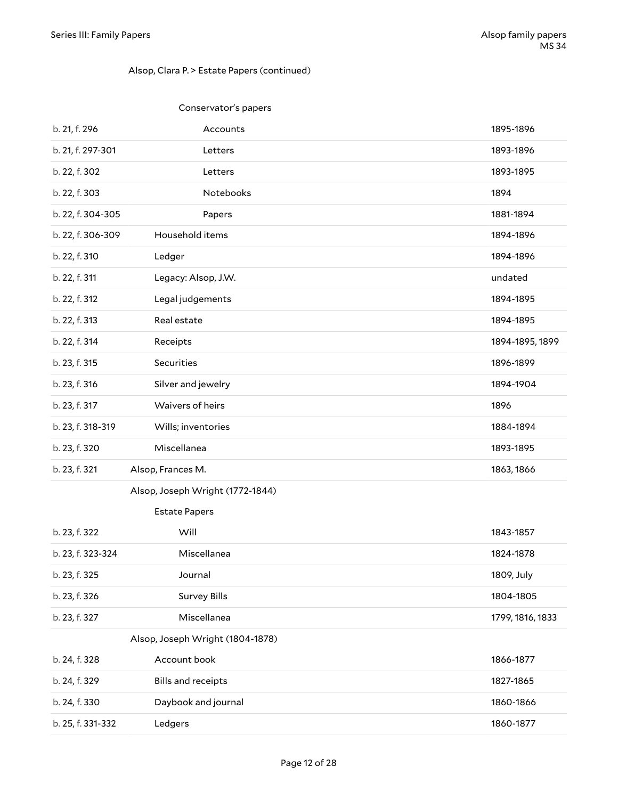#### Alsop, Clara P. > Estate Papers (continued)

|                   | Conservator's papers             |                  |
|-------------------|----------------------------------|------------------|
| b. 21, f. 296     | Accounts                         | 1895-1896        |
| b. 21, f. 297-301 | Letters                          | 1893-1896        |
| b. 22, f. 302     | Letters                          | 1893-1895        |
| b. 22, f. 303     | Notebooks                        | 1894             |
| b. 22, f. 304-305 | Papers                           | 1881-1894        |
| b. 22, f. 306-309 | Household items                  | 1894-1896        |
| b. 22, f. 310     | Ledger                           | 1894-1896        |
| b. 22, f. 311     | Legacy: Alsop, J.W.              | undated          |
| b. 22, f. 312     | Legal judgements                 | 1894-1895        |
| b. 22, f. 313     | Real estate                      | 1894-1895        |
| b. 22, f. 314     | Receipts                         | 1894-1895, 1899  |
| b. 23, f. 315     | Securities                       | 1896-1899        |
| b. 23, f. 316     | Silver and jewelry               | 1894-1904        |
| b. 23, f. 317     | Waivers of heirs                 | 1896             |
| b. 23, f. 318-319 | Wills; inventories               | 1884-1894        |
| b. 23, f. 320     | Miscellanea                      | 1893-1895        |
| b. 23, f. 321     | Alsop, Frances M.                | 1863, 1866       |
|                   | Alsop, Joseph Wright (1772-1844) |                  |
|                   | <b>Estate Papers</b>             |                  |
| b. 23, f. 322     | Will                             | 1843-1857        |
| b. 23, f. 323-324 | Miscellanea                      | 1824-1878        |
| b. 23, f. 325     | Journal                          | 1809, July       |
| b. 23, f. 326     | <b>Survey Bills</b>              | 1804-1805        |
| b. 23, f. 327     | Miscellanea                      | 1799, 1816, 1833 |
|                   | Alsop, Joseph Wright (1804-1878) |                  |
| b. 24, f. 328     | Account book                     | 1866-1877        |
| b. 24, f. 329     | <b>Bills and receipts</b>        | 1827-1865        |
| b. 24, f. 330     | Daybook and journal              | 1860-1866        |
| b. 25, f. 331-332 | Ledgers                          | 1860-1877        |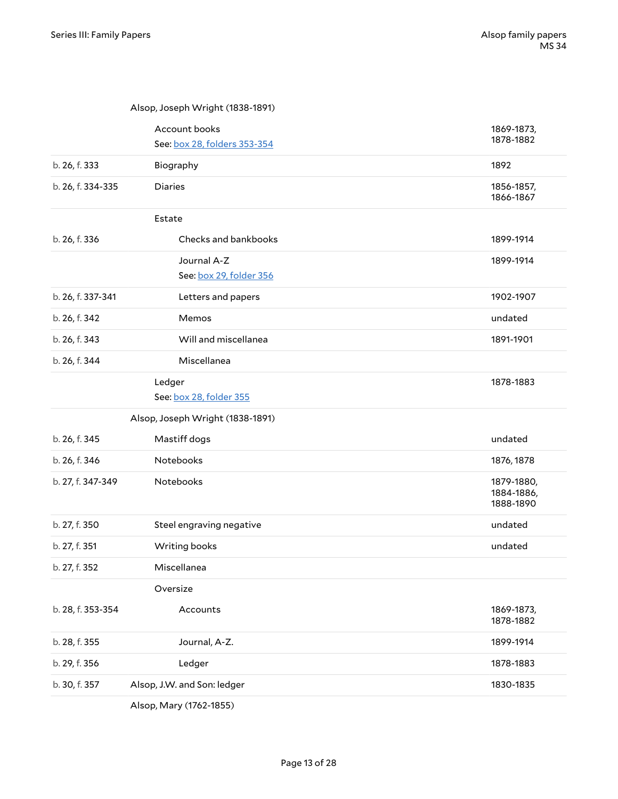|                   | Account books<br>See: box 28, folders 353-354 | 1869-1873,<br>1878-1882               |
|-------------------|-----------------------------------------------|---------------------------------------|
| b. 26, f. 333     | Biography                                     | 1892                                  |
| b. 26, f. 334-335 | <b>Diaries</b>                                | 1856-1857,<br>1866-1867               |
|                   | Estate                                        |                                       |
| b. 26, f. 336     | Checks and bankbooks                          | 1899-1914                             |
|                   | Journal A-Z<br>See: box 29, folder 356        | 1899-1914                             |
| b. 26, f. 337-341 | Letters and papers                            | 1902-1907                             |
| b. 26, f. 342     | Memos                                         | undated                               |
| b. 26, f. 343     | Will and miscellanea                          | 1891-1901                             |
| b. 26, f. 344     | Miscellanea                                   |                                       |
|                   | Ledger<br>See: box 28, folder 355             | 1878-1883                             |
|                   |                                               |                                       |
|                   | Alsop, Joseph Wright (1838-1891)              |                                       |
| b. 26, f. 345     | Mastiff dogs                                  | undated                               |
| b. 26, f. 346     | Notebooks                                     | 1876, 1878                            |
| b. 27, f. 347-349 | Notebooks                                     | 1879-1880,<br>1884-1886,<br>1888-1890 |
| b. 27, f. 350     | Steel engraving negative                      | undated                               |
| b. 27, f. 351     | Writing books                                 | undated                               |
| b. 27, f. 352     | Miscellanea                                   |                                       |
|                   | Oversize                                      |                                       |
| b. 28, f. 353-354 | Accounts                                      | 1869-1873,<br>1878-1882               |
| b. 28, f. 355     | Journal, A-Z.                                 | 1899-1914                             |
| b. 29, f. 356     | Ledger                                        | 1878-1883                             |

<span id="page-12-2"></span><span id="page-12-1"></span><span id="page-12-0"></span>Alsop, Mary (1762-1855)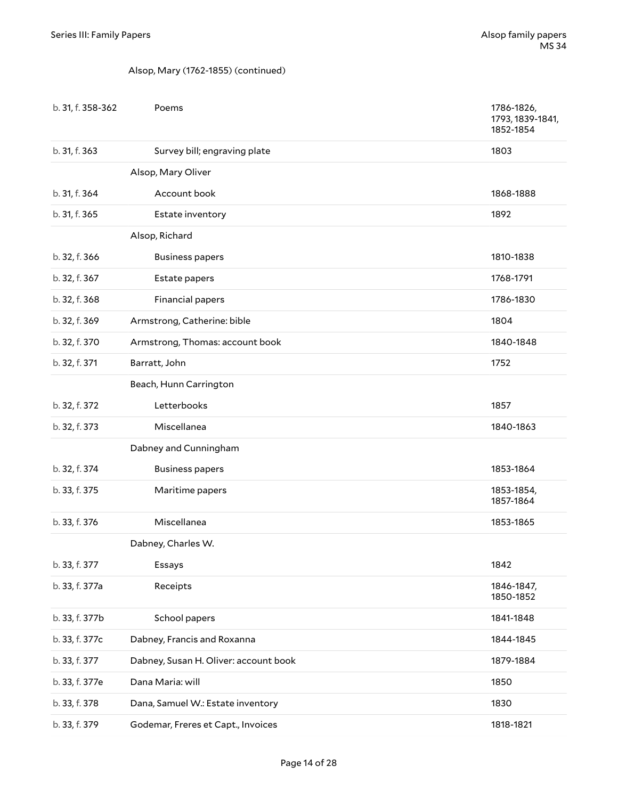#### Alsop, Mary (1762-1855) (continued)

| b. 31, f. 358-362 | Poems                                 | 1786-1826,<br>1793, 1839-1841,<br>1852-1854 |
|-------------------|---------------------------------------|---------------------------------------------|
| b. 31, f. 363     | Survey bill; engraving plate          | 1803                                        |
|                   | Alsop, Mary Oliver                    |                                             |
| b. 31, f. 364     | Account book                          | 1868-1888                                   |
| b. 31, f. 365     | Estate inventory                      | 1892                                        |
|                   | Alsop, Richard                        |                                             |
| b. 32, f. 366     | <b>Business papers</b>                | 1810-1838                                   |
| b. 32, f. 367     | Estate papers                         | 1768-1791                                   |
| b. 32, f. 368     | Financial papers                      | 1786-1830                                   |
| b. 32, f. 369     | Armstrong, Catherine: bible           | 1804                                        |
| b. 32, f. 370     | Armstrong, Thomas: account book       | 1840-1848                                   |
| b. 32, f. 371     | Barratt, John                         | 1752                                        |
|                   | Beach, Hunn Carrington                |                                             |
| b. 32, f. 372     | Letterbooks                           | 1857                                        |
| b. 32, f. 373     | Miscellanea                           | 1840-1863                                   |
|                   | Dabney and Cunningham                 |                                             |
| b. 32, f. 374     | <b>Business papers</b>                | 1853-1864                                   |
| b. 33, f. 375     | Maritime papers                       | 1853-1854,<br>1857-1864                     |
| b. 33, f. 376     | Miscellanea                           | 1853-1865                                   |
|                   | Dabney, Charles W.                    |                                             |
| b. 33, f. 377     | Essays                                | 1842                                        |
| b. 33, f. 377a    | Receipts                              | 1846-1847,<br>1850-1852                     |
| b. 33, f. 377b    | School papers                         | 1841-1848                                   |
| b. 33, f. 377c    | Dabney, Francis and Roxanna           | 1844-1845                                   |
| b. 33, f. 377     | Dabney, Susan H. Oliver: account book | 1879-1884                                   |
| b. 33, f. 377e    | Dana Maria: will                      | 1850                                        |
| b. 33, f. 378     | Dana, Samuel W.: Estate inventory     | 1830                                        |
| b. 33, f. 379     | Godemar, Freres et Capt., Invoices    | 1818-1821                                   |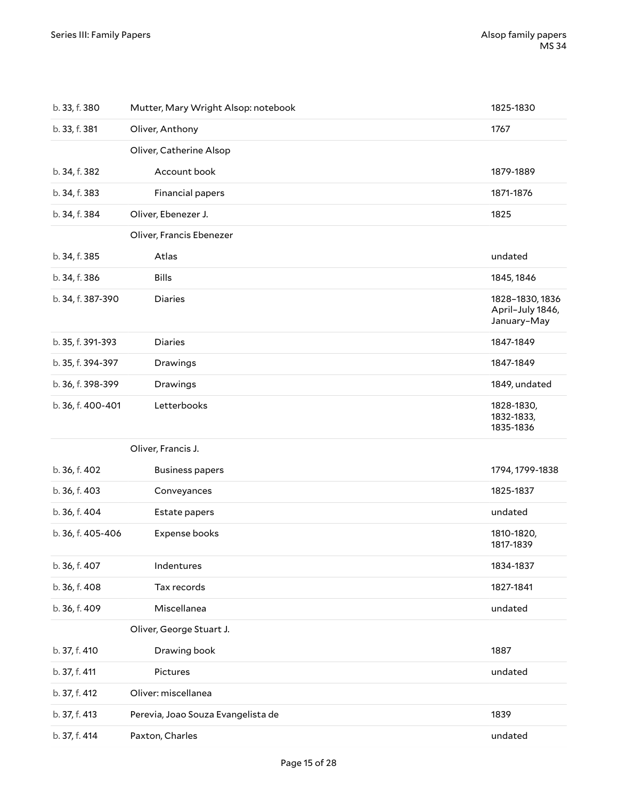| b. 33, f. 380     | Mutter, Mary Wright Alsop: notebook | 1825-1830                                          |
|-------------------|-------------------------------------|----------------------------------------------------|
| b. 33, f. 381     | Oliver, Anthony                     | 1767                                               |
|                   | Oliver, Catherine Alsop             |                                                    |
| b. 34, f. 382     | Account book                        | 1879-1889                                          |
| b. 34, f. 383     | Financial papers                    | 1871-1876                                          |
| b. 34, f. 384     | Oliver, Ebenezer J.                 | 1825                                               |
|                   | Oliver, Francis Ebenezer            |                                                    |
| b. 34, f. 385     | Atlas                               | undated                                            |
| b. 34, f. 386     | <b>Bills</b>                        | 1845, 1846                                         |
| b. 34, f. 387-390 | <b>Diaries</b>                      | 1828-1830, 1836<br>April-July 1846,<br>January-May |
| b. 35, f. 391-393 | <b>Diaries</b>                      | 1847-1849                                          |
| b. 35, f. 394-397 | Drawings                            | 1847-1849                                          |
| b. 36, f. 398-399 | Drawings                            | 1849, undated                                      |
| b. 36, f. 400-401 | Letterbooks                         | 1828-1830,<br>1832-1833,<br>1835-1836              |
|                   | Oliver, Francis J.                  |                                                    |
| b. 36, f. 402     | <b>Business papers</b>              | 1794, 1799-1838                                    |
| b. 36, f. 403     | Conveyances                         | 1825-1837                                          |
| b. 36, f. 404     | Estate papers                       | undated                                            |
| b. 36, f. 405-406 | Expense books                       | 1810-1820,<br>1817-1839                            |
| b. 36, f. 407     | Indentures                          | 1834-1837                                          |
| b. 36, f. 408     | Tax records                         | 1827-1841                                          |
| b. 36, f. 409     | Miscellanea                         | undated                                            |
|                   | Oliver, George Stuart J.            |                                                    |
| b. 37, f. 410     | Drawing book                        | 1887                                               |
| b. 37, f. 411     | Pictures                            | undated                                            |
| b. 37, f. 412     | Oliver: miscellanea                 |                                                    |
| b. 37, f. 413     | Perevia, Joao Souza Evangelista de  | 1839                                               |
| b. 37, f. 414     | Paxton, Charles                     | undated                                            |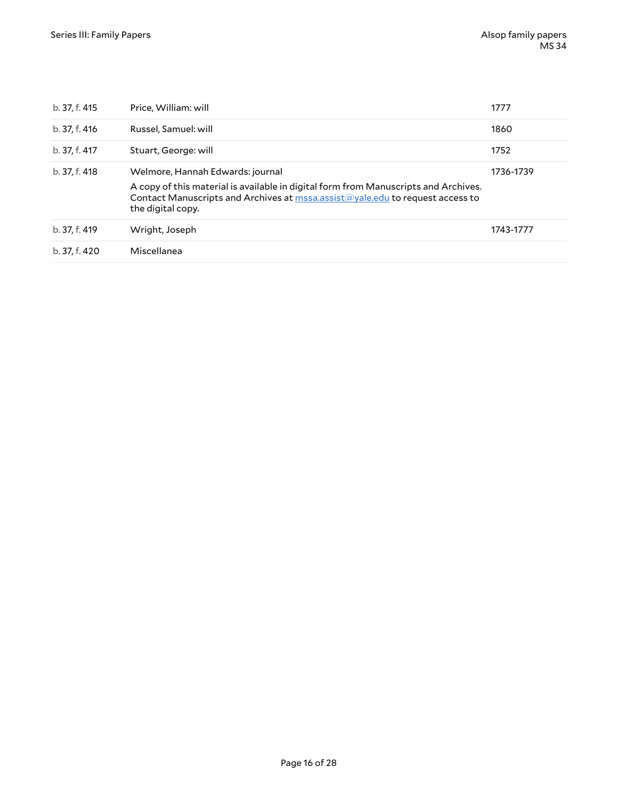| b. 37, f. 415 | Price, William: will                                                                                                                                                                                                          | 1777      |
|---------------|-------------------------------------------------------------------------------------------------------------------------------------------------------------------------------------------------------------------------------|-----------|
| b. 37, f. 416 | Russel, Samuel: will                                                                                                                                                                                                          | 1860      |
| b. 37, f. 417 | Stuart, George: will                                                                                                                                                                                                          | 1752      |
| b. 37, f. 418 | Welmore, Hannah Edwards: journal<br>A copy of this material is available in digital form from Manuscripts and Archives.<br>Contact Manuscripts and Archives at mssa.assist@yale.edu to request access to<br>the digital copy. | 1736-1739 |
| b. 37. f. 419 | Wright, Joseph                                                                                                                                                                                                                | 1743-1777 |
| b. 37. f. 420 | Miscellanea                                                                                                                                                                                                                   |           |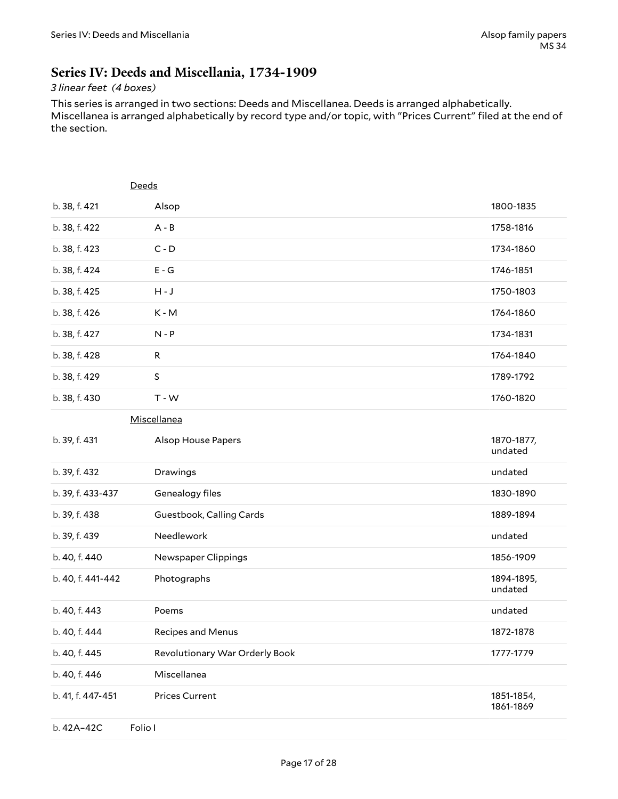#### <span id="page-16-0"></span>**Series IV: Deeds and Miscellania, 1734-1909**

#### *3 linear feet (4 boxes)*

This series is arranged in two sections: Deeds and Miscellanea. Deeds is arranged alphabetically. Miscellanea is arranged alphabetically by record type and/or topic, with "Prices Current" filed at the end of the section.

<span id="page-16-1"></span>

|                   | Deeds                          |                         |
|-------------------|--------------------------------|-------------------------|
| b. 38, f. 421     | Alsop                          | 1800-1835               |
| b. 38, f. 422     | $A - B$                        | 1758-1816               |
| b. 38, f. 423     | $C - D$                        | 1734-1860               |
| b. 38, f. 424     | $E - G$                        | 1746-1851               |
| b. 38, f. 425     | $H - J$                        | 1750-1803               |
| b. 38, f. 426     | K-M                            | 1764-1860               |
| b. 38, f. 427     | $N - P$                        | 1734-1831               |
| b. 38, f. 428     | $\mathsf R$                    | 1764-1840               |
| b. 38, f. 429     | $\sf S$                        | 1789-1792               |
| b. 38, f. 430     | $T - W$                        | 1760-1820               |
|                   | Miscellanea                    |                         |
| b. 39, f. 431     | Alsop House Papers             | 1870-1877,<br>undated   |
| b. 39, f. 432     | Drawings                       | undated                 |
| b. 39, f. 433-437 | Genealogy files                | 1830-1890               |
| b. 39, f. 438     | Guestbook, Calling Cards       | 1889-1894               |
| b. 39, f. 439     | Needlework                     | undated                 |
| b. 40, f. 440     | Newspaper Clippings            | 1856-1909               |
| b. 40, f. 441-442 | Photographs                    | 1894-1895,<br>undated   |
| b. 40, f. 443     | Poems                          | undated                 |
| b. 40, f. 444     | Recipes and Menus              | 1872-1878               |
| b. 40, f. 445     | Revolutionary War Orderly Book | 1777-1779               |
| b. 40, f. 446     | Miscellanea                    |                         |
| b. 41, f. 447-451 | <b>Prices Current</b>          | 1851-1854,<br>1861-1869 |
| b. 42A-42C        | Folio I                        |                         |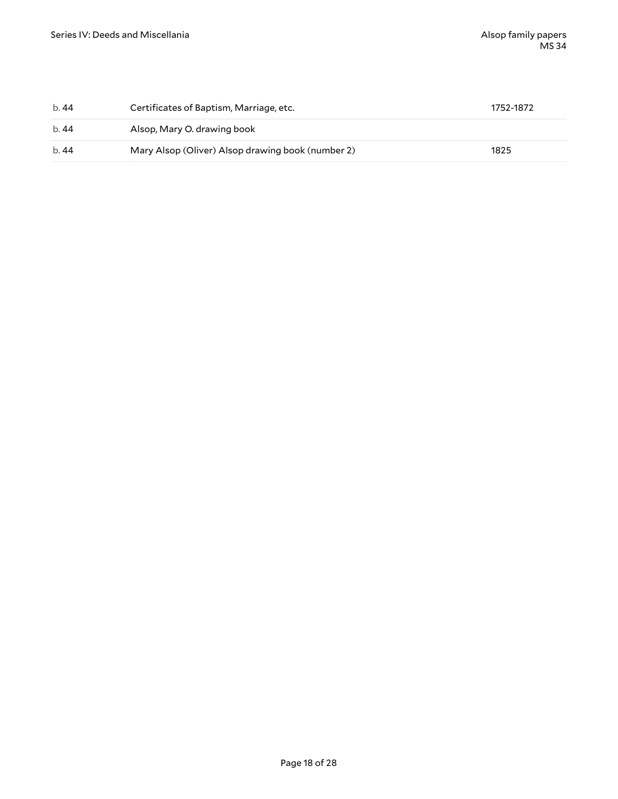| b.44 | Certificates of Baptism, Marriage, etc.           | 1752-1872 |
|------|---------------------------------------------------|-----------|
| b.44 | Alsop, Mary O. drawing book                       |           |
| b.44 | Mary Alsop (Oliver) Alsop drawing book (number 2) | 1825      |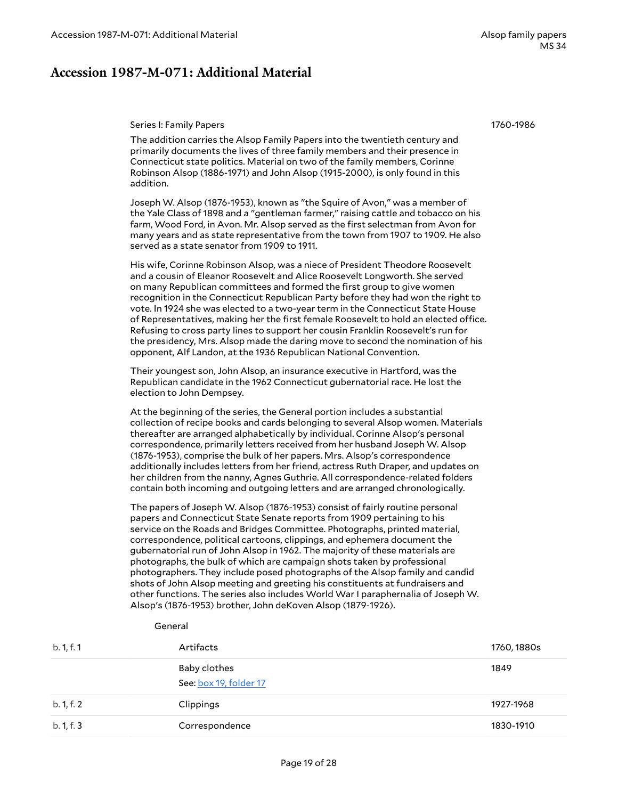#### <span id="page-18-0"></span>**Accession 1987-M-071: Additional Material**

#### <span id="page-18-1"></span>Series I: Family Papers

General

1760-1986

The addition carries the Alsop Family Papers into the twentieth century and primarily documents the lives of three family members and their presence in Connecticut state politics. Material on two of the family members, Corinne Robinson Alsop (1886-1971) and John Alsop (1915-2000), is only found in this addition.

Joseph W. Alsop (1876-1953), known as "the Squire of Avon," was a member of the Yale Class of 1898 and a "gentleman farmer," raising cattle and tobacco on his farm, Wood Ford, in Avon. Mr. Alsop served as the first selectman from Avon for many years and as state representative from the town from 1907 to 1909. He also served as a state senator from 1909 to 1911.

His wife, Corinne Robinson Alsop, was a niece of President Theodore Roosevelt and a cousin of Eleanor Roosevelt and Alice Roosevelt Longworth. She served on many Republican committees and formed the first group to give women recognition in the Connecticut Republican Party before they had won the right to vote. In 1924 she was elected to a two-year term in the Connecticut State House of Representatives, making her the first female Roosevelt to hold an elected office. Refusing to cross party lines to support her cousin Franklin Roosevelt's run for the presidency, Mrs. Alsop made the daring move to second the nomination of his opponent, Alf Landon, at the 1936 Republican National Convention.

Their youngest son, John Alsop, an insurance executive in Hartford, was the Republican candidate in the 1962 Connecticut gubernatorial race. He lost the election to John Dempsey.

At the beginning of the series, the General portion includes a substantial collection of recipe books and cards belonging to several Alsop women. Materials thereafter are arranged alphabetically by individual. Corinne Alsop's personal correspondence, primarily letters received from her husband Joseph W. Alsop (1876-1953), comprise the bulk of her papers. Mrs. Alsop's correspondence additionally includes letters from her friend, actress Ruth Draper, and updates on her children from the nanny, Agnes Guthrie. All correspondence-related folders contain both incoming and outgoing letters and are arranged chronologically.

The papers of Joseph W. Alsop (1876-1953) consist of fairly routine personal papers and Connecticut State Senate reports from 1909 pertaining to his service on the Roads and Bridges Committee. Photographs, printed material, correspondence, political cartoons, clippings, and ephemera document the gubernatorial run of John Alsop in 1962. The majority of these materials are photographs, the bulk of which are campaign shots taken by professional photographers. They include posed photographs of the Alsop family and candid shots of John Alsop meeting and greeting his constituents at fundraisers and other functions. The series also includes World War I paraphernalia of Joseph W. Alsop's (1876-1953) brother, John deKoven Alsop (1879-1926).

|            | uenerar                                |             |
|------------|----------------------------------------|-------------|
| b. 1, f. 1 | Artifacts                              | 1760, 1880s |
|            | Baby clothes<br>See: box 19, folder 17 | 1849        |
| b. 1, f. 2 | Clippings                              | 1927-1968   |
| b. 1, f. 3 | Correspondence                         | 1830-1910   |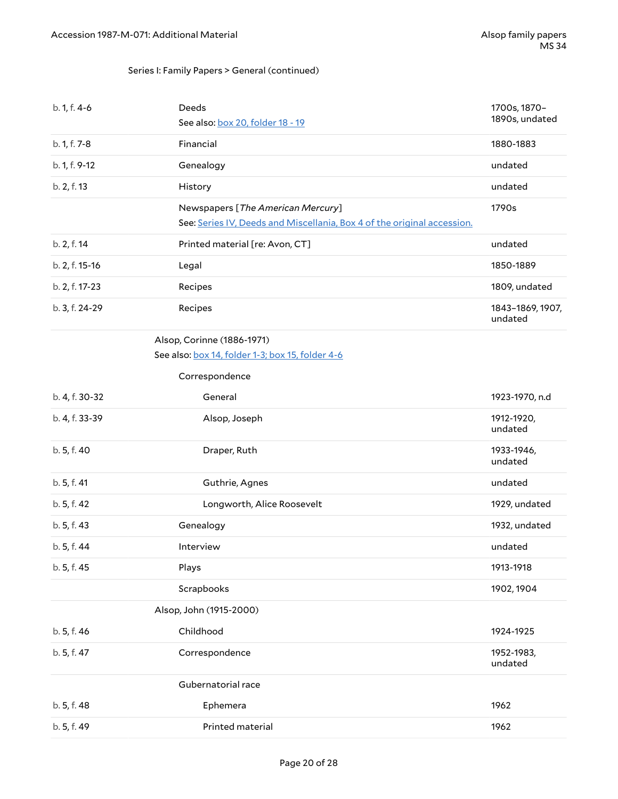#### Series I: Family Papers > General (continued)

| b. 1, f. 4-6   | Deeds<br>See also: box 20, folder 18 - 19                                                                    | 1700s, 1870-<br>1890s, undated |
|----------------|--------------------------------------------------------------------------------------------------------------|--------------------------------|
| b. 1, f. 7-8   | Financial                                                                                                    | 1880-1883                      |
| b. 1, f. 9-12  | Genealogy                                                                                                    | undated                        |
| b. 2, f. 13    | History                                                                                                      | undated                        |
|                | Newspapers [The American Mercury]<br>See: Series IV, Deeds and Miscellania, Box 4 of the original accession. | 1790s                          |
| b. 2, f. 14    | Printed material [re: Avon, CT]                                                                              | undated                        |
| b. 2, f. 15-16 | Legal                                                                                                        | 1850-1889                      |
| b. 2, f. 17-23 | Recipes                                                                                                      | 1809, undated                  |
| b. 3, f. 24-29 | Recipes                                                                                                      | 1843-1869, 1907,<br>undated    |
|                | Alsop, Corinne (1886-1971)<br>See also: box 14, folder 1-3; box 15, folder 4-6<br>Correspondence             |                                |
| b. 4, f. 30-32 | General                                                                                                      | 1923-1970, n.d                 |
| b. 4, f. 33-39 | Alsop, Joseph                                                                                                | 1912-1920,<br>undated          |
| b. 5, f. 40    | Draper, Ruth                                                                                                 | 1933-1946,<br>undated          |
| b. 5, f. 41    | Guthrie, Agnes                                                                                               | undated                        |
| b. 5, f. 42    | Longworth, Alice Roosevelt                                                                                   | 1929, undated                  |
| b. 5, f. 43    | Genealogy                                                                                                    | 1932, undated                  |
| b. 5, f. 44    | Interview                                                                                                    | undated                        |
| b. 5, f. 45    | Plays                                                                                                        | 1913-1918                      |
|                | Scrapbooks                                                                                                   | 1902, 1904                     |
|                | Alsop, John (1915-2000)                                                                                      |                                |
| b. 5, f. 46    | Childhood                                                                                                    | 1924-1925                      |
| b. 5, f. 47    | Correspondence                                                                                               | 1952-1983,<br>undated          |
|                | Gubernatorial race                                                                                           |                                |
| b. 5, f. 48    | Ephemera                                                                                                     | 1962                           |
| b. 5, f. 49    | Printed material                                                                                             | 1962                           |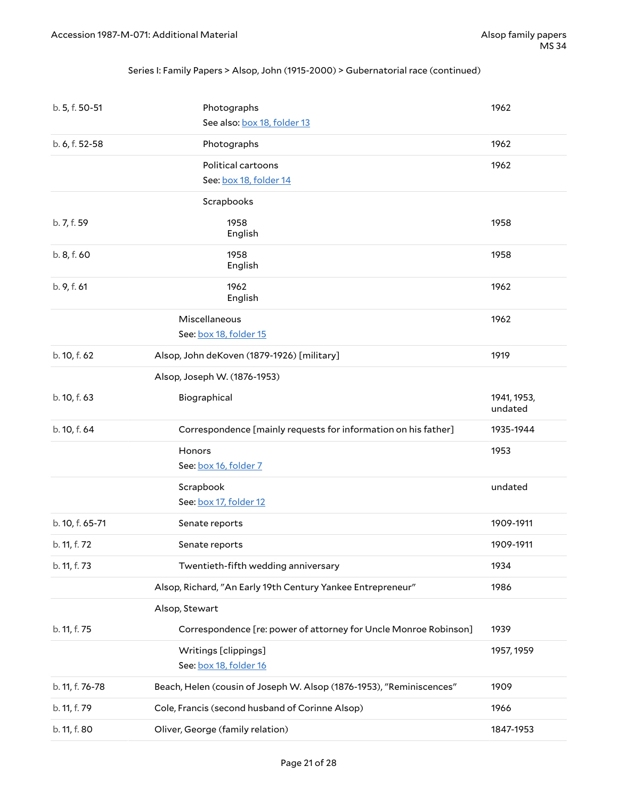#### Series I: Family Papers > Alsop, John (1915-2000) > Gubernatorial race (continued)

| b. 5, f. 50-51  | Photographs                                                          | 1962                   |
|-----------------|----------------------------------------------------------------------|------------------------|
|                 | See also: box 18, folder 13                                          |                        |
| b. 6, f. 52-58  | Photographs                                                          | 1962                   |
|                 | Political cartoons                                                   | 1962                   |
|                 | See: box 18, folder 14                                               |                        |
|                 | Scrapbooks                                                           |                        |
| b. 7, f. 59     | 1958<br>English                                                      | 1958                   |
| b. 8, f. 60     | 1958<br>English                                                      | 1958                   |
| b. 9, f. 61     | 1962<br>English                                                      | 1962                   |
|                 | Miscellaneous                                                        | 1962                   |
|                 | See: box 18, folder 15                                               |                        |
| b. 10, f. 62    | Alsop, John deKoven (1879-1926) [military]                           | 1919                   |
|                 | Alsop, Joseph W. (1876-1953)                                         |                        |
| b. 10, f. 63    | Biographical                                                         | 1941, 1953,<br>undated |
|                 |                                                                      |                        |
| b. 10, f. 64    | Correspondence [mainly requests for information on his father]       | 1935-1944              |
|                 | Honors                                                               | 1953                   |
|                 | See: box 16, folder 7                                                |                        |
|                 | Scrapbook                                                            | undated                |
|                 | See: box 17, folder 12                                               |                        |
| b. 10, f. 65-71 | Senate reports                                                       | 1909-1911              |
| b. 11, f. 72    | Senate reports                                                       | 1909-1911              |
| b. 11, f. 73    | Twentieth-fifth wedding anniversary                                  | 1934                   |
|                 | Alsop, Richard, "An Early 19th Century Yankee Entrepreneur"          | 1986                   |
|                 | Alsop, Stewart                                                       |                        |
| b. 11, f. 75    | Correspondence [re: power of attorney for Uncle Monroe Robinson]     | 1939                   |
|                 | Writings [clippings]<br>See: box 18, folder 16                       | 1957, 1959             |
| b. 11, f. 76-78 | Beach, Helen (cousin of Joseph W. Alsop (1876-1953), "Reminiscences" | 1909                   |
| b. 11, f. 79    | Cole, Francis (second husband of Corinne Alsop)                      | 1966                   |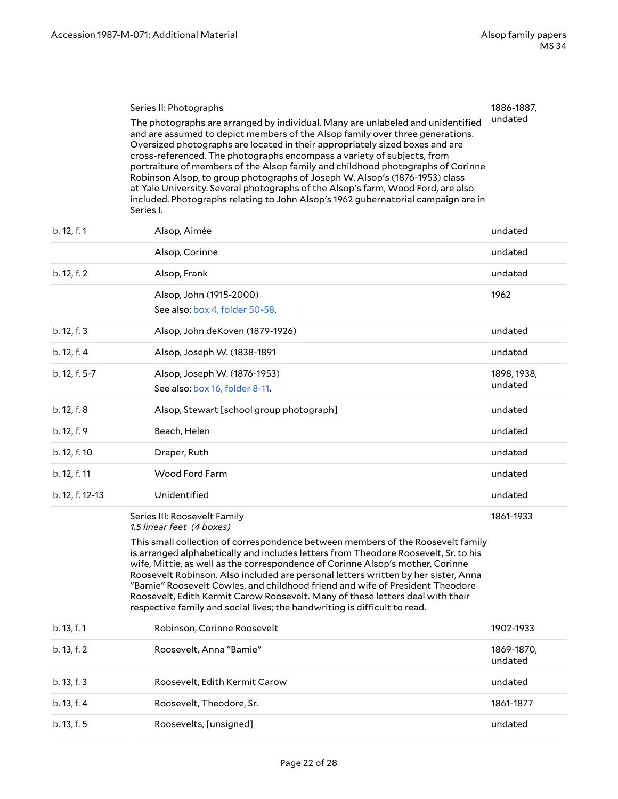<span id="page-21-0"></span>

| Series II: Photographs                                                                                                                                                                                                                                                                                                                                                                                                                                                                                                                                                                                                                                                              | 1886-1887, |
|-------------------------------------------------------------------------------------------------------------------------------------------------------------------------------------------------------------------------------------------------------------------------------------------------------------------------------------------------------------------------------------------------------------------------------------------------------------------------------------------------------------------------------------------------------------------------------------------------------------------------------------------------------------------------------------|------------|
| The photographs are arranged by individual. Many are unlabeled and unidentified<br>and are assumed to depict members of the Alsop family over three generations.<br>Oversized photographs are located in their appropriately sized boxes and are<br>cross-referenced. The photographs encompass a variety of subjects, from<br>portraiture of members of the Alsop family and childhood photographs of Corinne<br>Robinson Alsop, to group photographs of Joseph W. Alsop's (1876-1953) class<br>at Yale University. Several photographs of the Alsop's farm, Wood Ford, are also<br>included. Photographs relating to John Alsop's 1962 gubernatorial campaign are in<br>Series I. | undated    |

| b. 12, f. 1     | Alsop, Aimée                                                                                                                                                                                                                                             | undated     |
|-----------------|----------------------------------------------------------------------------------------------------------------------------------------------------------------------------------------------------------------------------------------------------------|-------------|
|                 | Alsop, Corinne                                                                                                                                                                                                                                           | undated     |
| b. 12, f. 2     | Alsop, Frank                                                                                                                                                                                                                                             | undated     |
|                 | Alsop, John (1915-2000)                                                                                                                                                                                                                                  | 1962        |
|                 | See also: box 4, folder 50-58.                                                                                                                                                                                                                           |             |
| b. 12, f. 3     | Alsop, John deKoven (1879-1926)                                                                                                                                                                                                                          | undated     |
| b. 12, f. 4     | Alsop, Joseph W. (1838-1891                                                                                                                                                                                                                              | undated     |
| b. 12, f. 5-7   | Alsop, Joseph W. (1876-1953)                                                                                                                                                                                                                             | 1898, 1938, |
|                 | See also: box 16, folder 8-11.                                                                                                                                                                                                                           | undated     |
| b. 12, f. 8     | Alsop, Stewart [school group photograph]                                                                                                                                                                                                                 | undated     |
| b. 12, f. 9     | Beach, Helen                                                                                                                                                                                                                                             | undated     |
| b. 12, f. 10    | Draper, Ruth                                                                                                                                                                                                                                             | undated     |
| b. 12, f. 11    | <b>Wood Ford Farm</b>                                                                                                                                                                                                                                    | undated     |
| b. 12, f. 12-13 | Unidentified                                                                                                                                                                                                                                             | undated     |
|                 | Series III: Roosevelt Family<br>1.5 linear feet (4 boxes)                                                                                                                                                                                                | 1861-1933   |
|                 | This small collection of correspondence between members of the Roosevelt family<br>is arranged alphabetically and includes letters from Theodore Roosevelt, Sr. to his<br>wife, Mittie, as well as the correspondence of Corinne Alsop's mother, Corinne |             |

<span id="page-21-1"></span>Roosevelt Robinson. Also included are personal letters written by her sister, Anna "Bamie" Roosevelt Cowles, and childhood friend and wife of President Theodore Roosevelt, Edith Kermit Carow Roosevelt. Many of these letters deal with their respective family and social lives; the handwriting is difficult to read.

| b. 13, f. 1 | Robinson, Corinne Roosevelt   | 1902-1933             |
|-------------|-------------------------------|-----------------------|
| b. 13, f. 2 | Roosevelt, Anna "Bamie"       | 1869-1870,<br>undated |
| b. 13, f. 3 | Roosevelt, Edith Kermit Carow | undated               |
| b. 13, f. 4 | Roosevelt, Theodore, Sr.      | 1861-1877             |
| b. 13, f. 5 | Roosevelts, [unsigned]        | undated               |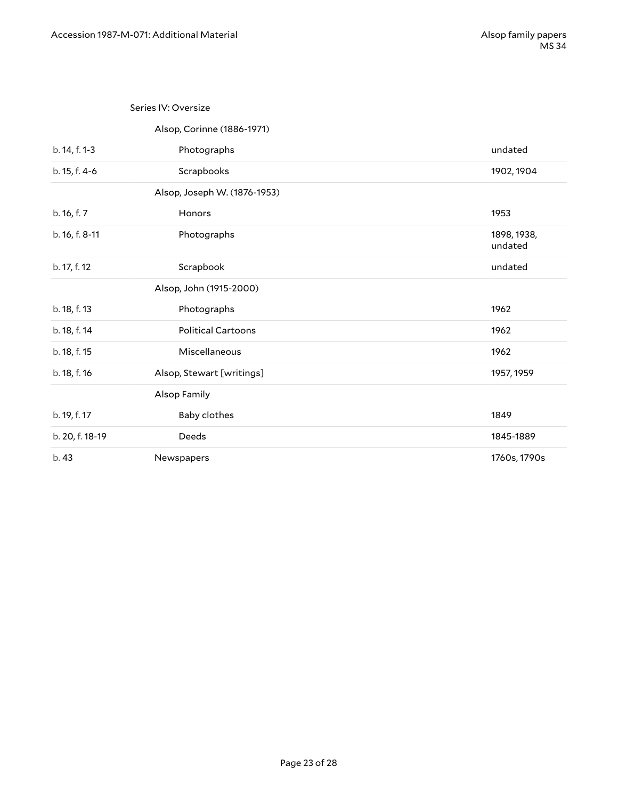#### <span id="page-22-0"></span>Series IV: Oversize

#### <span id="page-22-10"></span><span id="page-22-8"></span><span id="page-22-7"></span><span id="page-22-4"></span><span id="page-22-3"></span>Alsop, Corinne (1886-1971)

<span id="page-22-9"></span><span id="page-22-6"></span><span id="page-22-5"></span><span id="page-22-2"></span><span id="page-22-1"></span>

| b. 14, f. 1-3   | Photographs                  | undated                |
|-----------------|------------------------------|------------------------|
| b. 15, f. 4-6   | Scrapbooks                   | 1902, 1904             |
|                 | Alsop, Joseph W. (1876-1953) |                        |
| b. 16, f. 7     | Honors                       | 1953                   |
| b. 16, f. 8-11  | Photographs                  | 1898, 1938,<br>undated |
| b. 17, f. 12    | Scrapbook                    | undated                |
|                 | Alsop, John (1915-2000)      |                        |
| b. 18, f. 13    | Photographs                  | 1962                   |
| b. 18, f. 14    | <b>Political Cartoons</b>    | 1962                   |
| b. 18, f. 15    | Miscellaneous                | 1962                   |
| b. 18, f. 16    | Alsop, Stewart [writings]    | 1957, 1959             |
|                 | Alsop Family                 |                        |
| b. 19, f. 17    | Baby clothes                 | 1849                   |
| b. 20, f. 18-19 | Deeds                        | 1845-1889              |
| b. 43           | Newspapers                   | 1760s, 1790s           |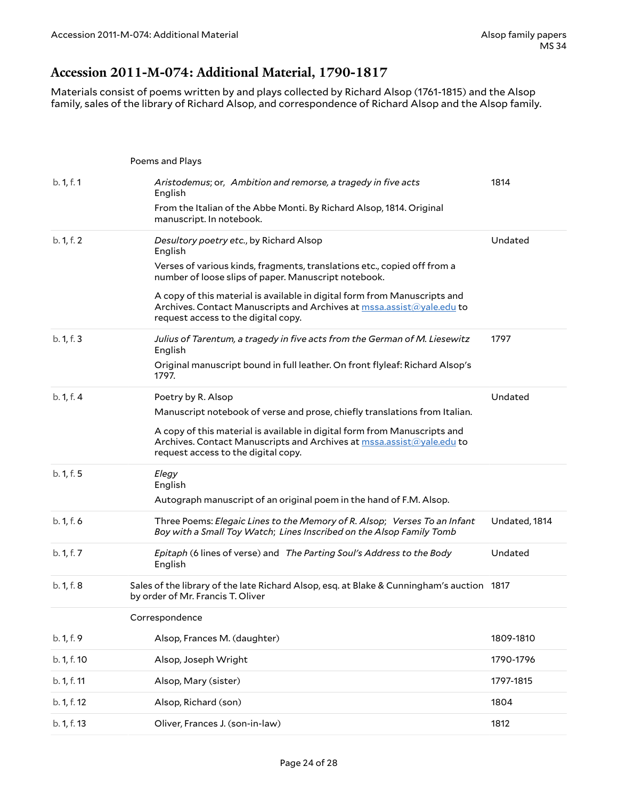#### <span id="page-23-0"></span>**Accession 2011-M-074: Additional Material, 1790-1817**

Materials consist of poems written by and plays collected by Richard Alsop (1761-1815) and the Alsop family, sales of the library of Richard Alsop, and correspondence of Richard Alsop and the Alsop family.

|             | Poems and Plays                                                                                                                                                                           |               |
|-------------|-------------------------------------------------------------------------------------------------------------------------------------------------------------------------------------------|---------------|
| b. 1, f. 1  | Aristodemus; or, Ambition and remorse, a tragedy in five acts<br>English                                                                                                                  | 1814          |
|             | From the Italian of the Abbe Monti. By Richard Alsop, 1814. Original<br>manuscript. In notebook.                                                                                          |               |
| b. 1, f. 2  | Desultory poetry etc., by Richard Alsop<br>English                                                                                                                                        | Undated       |
|             | Verses of various kinds, fragments, translations etc., copied off from a<br>number of loose slips of paper. Manuscript notebook.                                                          |               |
|             | A copy of this material is available in digital form from Manuscripts and<br>Archives. Contact Manuscripts and Archives at mssa.assist@yale.edu to<br>request access to the digital copy. |               |
| b. 1, f. 3  | Julius of Tarentum, a tragedy in five acts from the German of M. Liesewitz<br>English                                                                                                     | 1797          |
|             | Original manuscript bound in full leather. On front flyleaf: Richard Alsop's<br>1797.                                                                                                     |               |
| b. 1, f. 4  | Poetry by R. Alsop                                                                                                                                                                        | Undated       |
|             | Manuscript notebook of verse and prose, chiefly translations from Italian.                                                                                                                |               |
|             | A copy of this material is available in digital form from Manuscripts and<br>Archives. Contact Manuscripts and Archives at mssa.assist@yale.edu to<br>request access to the digital copy. |               |
| b. 1, f. 5  | Elegy<br>English                                                                                                                                                                          |               |
|             | Autograph manuscript of an original poem in the hand of F.M. Alsop.                                                                                                                       |               |
| b. 1, f. 6  | Three Poems: Elegaic Lines to the Memory of R. Alsop; Verses To an Infant<br>Boy with a Small Toy Watch; Lines Inscribed on the Alsop Family Tomb                                         | Undated, 1814 |
| b. 1, f. 7  | Epitaph (6 lines of verse) and The Parting Soul's Address to the Body<br>English                                                                                                          | Undated       |
| b. 1, f. 8  | Sales of the library of the late Richard Alsop, esq. at Blake & Cunningham's auction 1817<br>by order of Mr. Francis T. Oliver                                                            |               |
|             | Correspondence                                                                                                                                                                            |               |
| b. 1, f. 9  | Alsop, Frances M. (daughter)                                                                                                                                                              | 1809-1810     |
| b. 1, f. 10 | Alsop, Joseph Wright                                                                                                                                                                      | 1790-1796     |
| b. 1, f. 11 | Alsop, Mary (sister)                                                                                                                                                                      | 1797-1815     |
| b. 1, f. 12 | Alsop, Richard (son)                                                                                                                                                                      | 1804          |
| b. 1, f. 13 | Oliver, Frances J. (son-in-law)                                                                                                                                                           | 1812          |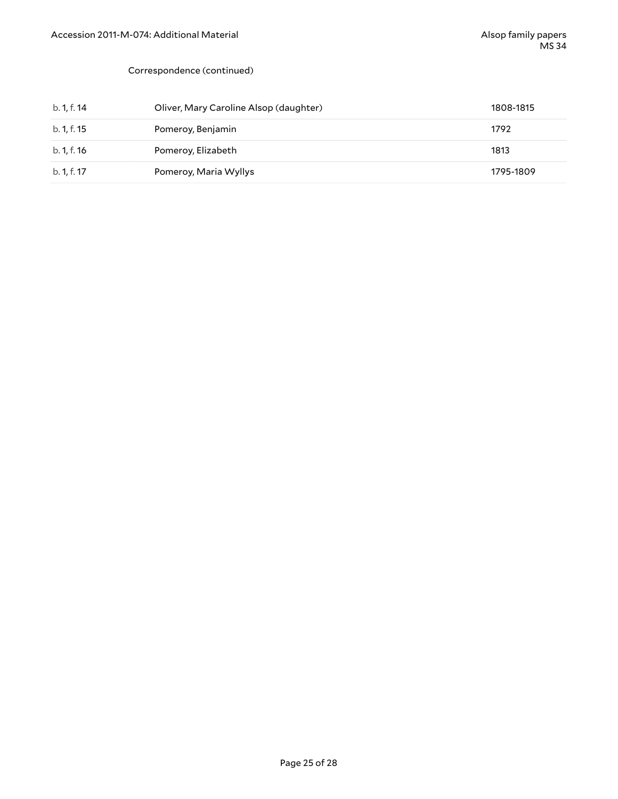#### Correspondence (continued)

| b. 1, f. 14 | Oliver, Mary Caroline Alsop (daughter) | 1808-1815 |
|-------------|----------------------------------------|-----------|
| b. 1, f. 15 | Pomeroy, Benjamin                      | 1792      |
| b. 1, f. 16 | Pomeroy, Elizabeth                     | 1813      |
| b. 1, f. 17 | Pomeroy, Maria Wyllys                  | 1795-1809 |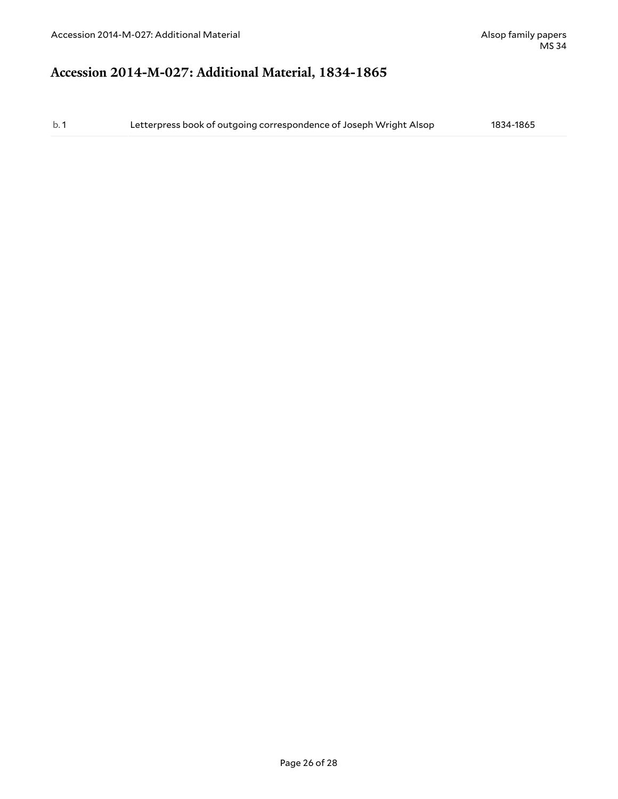### <span id="page-25-0"></span>**Accession 2014-M-027: Additional Material, 1834-1865**

b. 1 Letterpress book of outgoing correspondence of Joseph Wright Alsop 1834-1865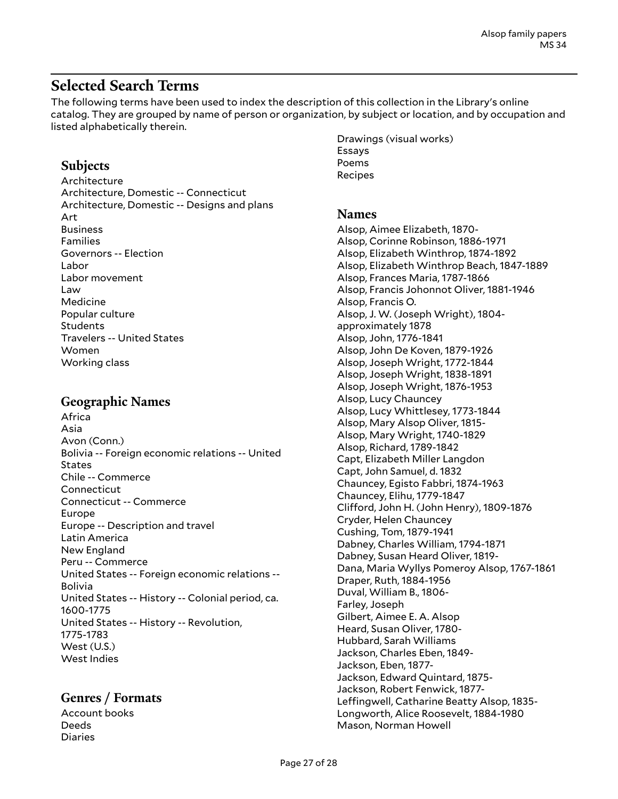### <span id="page-26-0"></span>**Selected Search Terms**

The following terms have been used to index the description of this collection in the Library's online catalog. They are grouped by name of person or organization, by subject or location, and by occupation and listed alphabetically therein.

#### **Subjects**

Architecture Architecture, Domestic -- Connecticut Architecture, Domestic -- Designs and plans Art Business Families Governors -- Election Labor Labor movement Law Medicine Popular culture Students Travelers -- United States Women Working class

#### **Geographic Names**

Africa Asia Avon (Conn.) Bolivia -- Foreign economic relations -- United **States** Chile -- Commerce Connecticut Connecticut -- Commerce Europe Europe -- Description and travel Latin America New England Peru -- Commerce United States -- Foreign economic relations -- Bolivia United States -- History -- Colonial period, ca. 1600-1775 United States -- History -- Revolution, 1775-1783 West (U.S.) West Indies

#### **Genres / Formats**

Account books Deeds Diaries

Drawings (visual works) Essays Poems Recipes

#### **Names**

Alsop, Aimee Elizabeth, 1870- Alsop, Corinne Robinson, 1886-1971 Alsop, Elizabeth Winthrop, 1874-1892 Alsop, Elizabeth Winthrop Beach, 1847-1889 Alsop, Frances Maria, 1787-1866 Alsop, Francis Johonnot Oliver, 1881-1946 Alsop, Francis O. Alsop, J. W. (Joseph Wright), 1804 approximately 1878 Alsop, John, 1776-1841 Alsop, John De Koven, 1879-1926 Alsop, Joseph Wright, 1772-1844 Alsop, Joseph Wright, 1838-1891 Alsop, Joseph Wright, 1876-1953 Alsop, Lucy Chauncey Alsop, Lucy Whittlesey, 1773-1844 Alsop, Mary Alsop Oliver, 1815- Alsop, Mary Wright, 1740-1829 Alsop, Richard, 1789-1842 Capt, Elizabeth Miller Langdon Capt, John Samuel, d. 1832 Chauncey, Egisto Fabbri, 1874-1963 Chauncey, Elihu, 1779-1847 Clifford, John H. (John Henry), 1809-1876 Cryder, Helen Chauncey Cushing, Tom, 1879-1941 Dabney, Charles William, 1794-1871 Dabney, Susan Heard Oliver, 1819- Dana, Maria Wyllys Pomeroy Alsop, 1767-1861 Draper, Ruth, 1884-1956 Duval, William B., 1806- Farley, Joseph Gilbert, Aimee E. A. Alsop Heard, Susan Oliver, 1780- Hubbard, Sarah Williams Jackson, Charles Eben, 1849- Jackson, Eben, 1877- Jackson, Edward Quintard, 1875- Jackson, Robert Fenwick, 1877- Leffingwell, Catharine Beatty Alsop, 1835-Longworth, Alice Roosevelt, 1884-1980 Mason, Norman Howell